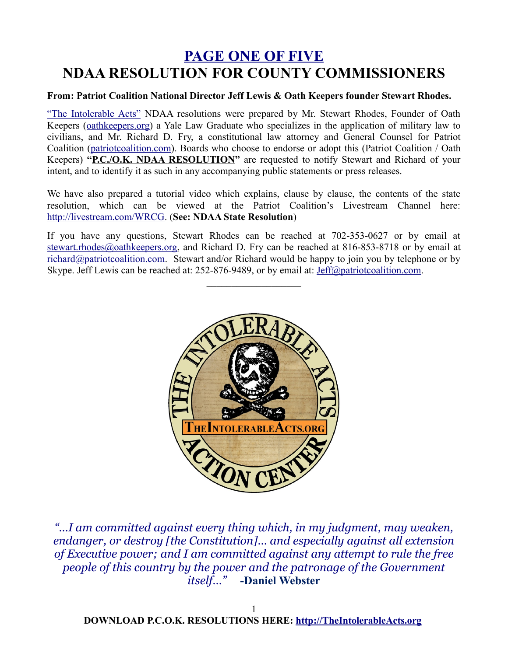## **PAGE ONE OF FIVE NDAA RESOLUTION FOR COUNTY COMMISSIONERS**

#### **From: Patriot Coalition National Director Jeff Lewis & Oath Keepers founder Stewart Rhodes.**

"The Intolerable Acts" NDAA resolutions were prepared by Mr. Stewart Rhodes, Founder of Oath Keepers [\(oathkeepers.org\)](http://oathkeepers.org/) a Yale Law Graduate who specializes in the application of military law to civilians, and Mr. Richard D. Fry, a constitutional law attorney and General Counsel for Patriot Coalition [\(patriotcoalition.com\)](http://patriotcoalition.com/). Boards who choose to endorse or adopt this (Patriot Coalition / Oath Keepers) "P.C./O.K. NDAA RESOLUTION" are requested to notify Stewart and Richard of your intent, and to identify it as such in any accompanying public statements or press releases.

We have also prepared a tutorial video which explains, clause by clause, the contents of the state resolution, which can be viewed at the Patriot Coalition's Livestream Channel here: [http://livestream.com/WRCG.](http://livestream.com/WRCG) (**See: NDAA State Resolution**)

If you have any questions, Stewart Rhodes can be reached at 702-353-0627 or by email at [stewart.rhodes@oathkeepers.org,](mailto:stewart.rhodes@oathkeepers.org) and Richard D. Fry can be reached at 816-853-8718 or by email at [richard@patriotcoalition.com.](mailto:richard@patriotcoalition.com) Stewart and/or Richard would be happy to join you by telephone or by Skype. Jeff Lewis can be reached at: 252-876-9489, or by email at: [Jeff@patriotcoalition.com.](mailto:Jeff@patriotcoalition.com)

 $\mathcal{L}_\text{max}$  , where  $\mathcal{L}_\text{max}$ 



*"…I am committed against every thing which, in my judgment, may weaken, endanger, or destroy [the Constitution]… and especially against all extension of Executive power; and I am committed against any attempt to rule the free people of this country by the power and the patronage of the Government itself…"* **-Daniel Webster**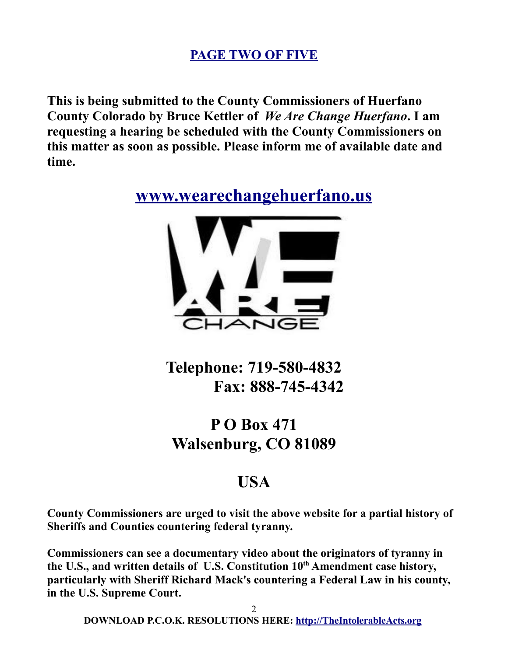### **PAGE TWO OF FIVE**

**This is being submitted to the County Commissioners of Huerfano County Colorado by Bruce Kettler of** *We Are Change Huerfano***. I am requesting a hearing be scheduled with the County Commissioners on this matter as soon as possible. Please inform me of available date and time.**

**[www.wearechangehuerfano.us](http://www.wearechangehuerfano.us/)**



**Telephone: 719-580-4832 Fax: 888-745-4342**

# **P O Box 471 Walsenburg, CO 81089**

## **USA**

**County Commissioners are urged to visit the above website for a partial history of Sheriffs and Counties countering federal tyranny.**

**Commissioners can see a documentary video about the originators of tyranny in the U.S., and written details of U.S. Constitution 10th Amendment case history, particularly with Sheriff Richard Mack's countering a Federal Law in his county, in the U.S. Supreme Court.**

2 **DOWNLOAD P.C.O.K. RESOLUTIONS HERE: [http://TheIntolerableActs.org](http://TheIntolerableActs.org/)**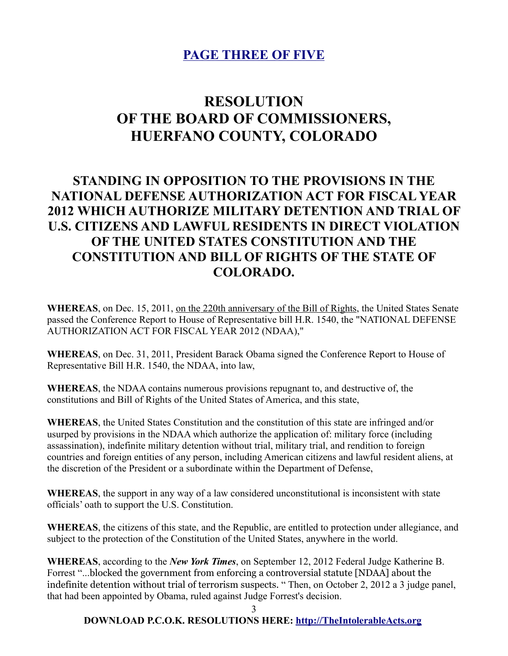### **PAGE THREE OF FIVE**

## **RESOLUTION OF THE BOARD OF COMMISSIONERS, HUERFANO COUNTY, COLORADO**

### **STANDING IN OPPOSITION TO THE PROVISIONS IN THE NATIONAL DEFENSE AUTHORIZATION ACT FOR FISCAL YEAR 2012 WHICH AUTHORIZE MILITARY DETENTION AND TRIAL OF U.S. CITIZENS AND LAWFUL RESIDENTS IN DIRECT VIOLATION OF THE UNITED STATES CONSTITUTION AND THE CONSTITUTION AND BILL OF RIGHTS OF THE STATE OF COLORADO.**

**WHEREAS**, on Dec. 15, 2011, on the 220th anniversary of the Bill of Rights, the United States Senate passed the Conference Report to House of Representative bill H.R. 1540, the "NATIONAL DEFENSE AUTHORIZATION ACT FOR FISCAL YEAR 2012 (NDAA),"

**WHEREAS**, on Dec. 31, 2011, President Barack Obama signed the Conference Report to House of Representative Bill H.R. 1540, the NDAA, into law,

**WHEREAS**, the NDAA contains numerous provisions repugnant to, and destructive of, the constitutions and Bill of Rights of the United States of America, and this state,

**WHEREAS**, the United States Constitution and the constitution of this state are infringed and/or usurped by provisions in the NDAA which authorize the application of: military force (including assassination), indefinite military detention without trial, military trial, and rendition to foreign countries and foreign entities of any person, including American citizens and lawful resident aliens, at the discretion of the President or a subordinate within the Department of Defense,

**WHEREAS**, the support in any way of a law considered unconstitutional is inconsistent with state officials' oath to support the U.S. Constitution.

**WHEREAS**, the citizens of this state, and the Republic, are entitled to protection under allegiance, and subject to the protection of the Constitution of the United States, anywhere in the world.

**WHEREAS**, according to the *New York Times*, on September 12, 2012 Federal Judge Katherine B. Forrest "...blocked the government from enforcing a controversial statute [NDAA] about the indefinite detention without trial of terrorism suspects. " Then, on October 2, 2012 a 3 judge panel, that had been appointed by Obama, ruled against Judge Forrest's decision.

3

#### **DOWNLOAD P.C.O.K. RESOLUTIONS HERE: [http://TheIntolerableActs.org](http://TheIntolerableActs.org/)**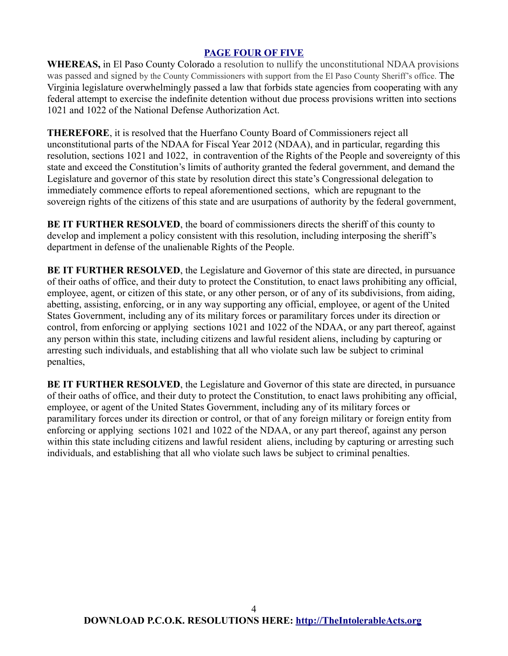#### **PAGE FOUR OF FIVE**

**WHEREAS,** in El Paso County Colorado a resolution to nullify the unconstitutional NDAA provisions was passed and signed by the County Commissioners with support from the El Paso County Sheriff's office. The Virginia legislature overwhelmingly passed a law that forbids state agencies from cooperating with any federal attempt to exercise the indefinite detention without due process provisions written into sections 1021 and 1022 of the National Defense Authorization Act.

**THEREFORE**, it is resolved that the Huerfano County Board of Commissioners reject all unconstitutional parts of the NDAA for Fiscal Year 2012 (NDAA), and in particular, regarding this resolution, sections 1021 and 1022, in contravention of the Rights of the People and sovereignty of this state and exceed the Constitution's limits of authority granted the federal government, and demand the Legislature and governor of this state by resolution direct this state's Congressional delegation to immediately commence efforts to repeal aforementioned sections, which are repugnant to the sovereign rights of the citizens of this state and are usurpations of authority by the federal government,

**BE IT FURTHER RESOLVED**, the board of commissioners directs the sheriff of this county to develop and implement a policy consistent with this resolution, including interposing the sheriff's department in defense of the unalienable Rights of the People.

**BE IT FURTHER RESOLVED**, the Legislature and Governor of this state are directed, in pursuance of their oaths of office, and their duty to protect the Constitution, to enact laws prohibiting any official, employee, agent, or citizen of this state, or any other person, or of any of its subdivisions, from aiding, abetting, assisting, enforcing, or in any way supporting any official, employee, or agent of the United States Government, including any of its military forces or paramilitary forces under its direction or control, from enforcing or applying sections 1021 and 1022 of the NDAA, or any part thereof, against any person within this state, including citizens and lawful resident aliens, including by capturing or arresting such individuals, and establishing that all who violate such law be subject to criminal penalties,

**BE IT FURTHER RESOLVED, the Legislature and Governor of this state are directed, in pursuance** of their oaths of office, and their duty to protect the Constitution, to enact laws prohibiting any official, employee, or agent of the United States Government, including any of its military forces or paramilitary forces under its direction or control, or that of any foreign military or foreign entity from enforcing or applying sections 1021 and 1022 of the NDAA, or any part thereof, against any person within this state including citizens and lawful resident aliens, including by capturing or arresting such individuals, and establishing that all who violate such laws be subject to criminal penalties.